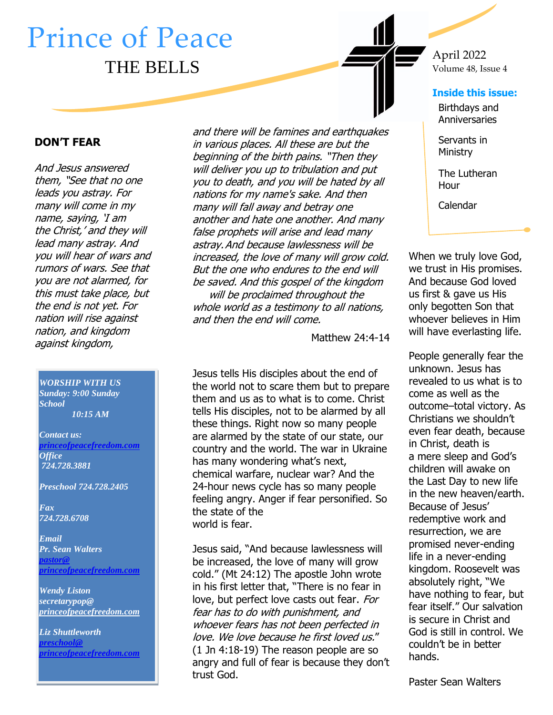# Prince of Peace THE BELLS

#### **DON'T FEAR**

**1.** them, "See that no one And Jesus answered leads you astray. For many will come in my name, saying, 'I am the Christ,' and they will lead many astray. And you will hear of wars and rumors of wars. See that you are not alarmed, for this must take place, but the end is not yet. For nation will rise against nation, and kingdom against kingdom,

#### *WORSHIP WITH US Sunday: 9:00 Sunday*

*School 10:15 AM*

*Contact us: [princeofpeacefreedom.com](http://www.princeofpeacefreedom.com/) Office 724.728.3881*

*Preschool 724.728.2405*

*Fax 724.728.6708*

*Email Pr. Sean Walters [pastor@](mailto:secretarypop@princeofpeacefreedom.com)  [princeofpeacefreedom.com](mailto:secretarypop@princeofpeacefreedom.com)*

*Wendy Liston secretarypop@ princeofpeacefreedom.com*

*Liz Shuttleworth [preschool@](mailto:preschool@princeofpeacefreedom.com)  [princeofpeacefreedom.com](mailto:preschool@princeofpeacefreedom.com)* and there will be famines and earthquakes in various places. All these are but the beginning of the birth pains. "Then they will deliver you up to tribulation and put you to death, and you will be hated by all nations for my name's sake. And then many will fall away and betray one another and hate one another. And many false prophets will arise and lead many astray.And because lawlessness will be increased, the love of many will grow cold. But the one who endures to the end will be saved. And this gospel of the kingdom will be proclaimed throughout the whole world as a testimony to all nations, and then the end will come.

Matthew 24:4-14

Jesus tells His disciples about the end of the world not to scare them but to prepare them and us as to what is to come. Christ tells His disciples, not to be alarmed by all these things. Right now so many people are alarmed by the state of our state, our country and the world. The war in Ukraine has many wondering what's next, chemical warfare, nuclear war? And the 24-hour news cycle has so many people feeling angry. Anger if fear personified. So the state of the world is fear.

Jesus said, "And because lawlessness will be increased, the love of many will grow cold." (Mt 24:12) The apostle John wrote in his first letter that, "There is no fear in love, but perfect love casts out fear. For fear has to do with punishment, and whoever fears has not been perfected in love. We love because he first loved us." (1 Jn 4:18-19) The reason people are so angry and full of fear is because they don't trust God.

#### April 2022 Volume 48, Issue 4

#### **Inside this issue:**

Birthdays and Anniversaries

Servants in **Ministry** 

The Lutheran Hour

Calendar

When we truly love God, we trust in His promises. And because God loved us first & gave us His only begotten Son that whoever believes in Him will have everlasting life.

People generally fear the unknown. Jesus has revealed to us what is to come as well as the outcome–total victory. As Christians we shouldn't even fear death, because in Christ, death is a mere sleep and God's children will awake on the Last Day to new life in the new heaven/earth. Because of Jesus' redemptive work and resurrection, we are promised never-ending life in a never-ending kingdom. Roosevelt was absolutely right, "We have nothing to fear, but fear itself." Our salvation is secure in Christ and God is still in control. We couldn't be in better hands.

Paster Sean Walters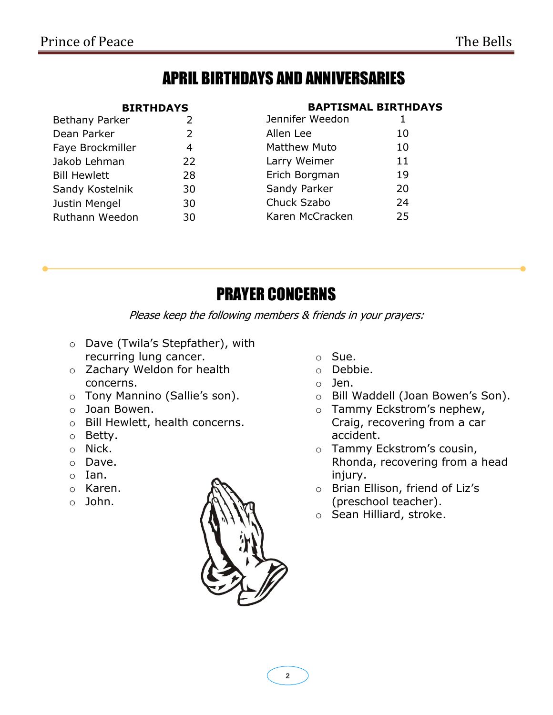## APRIL BIRTHDAYS AND ANNIVERSARIES

|  |  | <b>BIRTHDAYS</b> |
|--|--|------------------|
|  |  |                  |

| <b>Bethany Parker</b> | $\mathcal{P}$ |
|-----------------------|---------------|
| Dean Parker           | $\mathcal{L}$ |
| Faye Brockmiller      | 4             |
| Jakob Lehman          | 22            |
| <b>Bill Hewlett</b>   | 28            |
| Sandy Kostelnik       | 30            |
| Justin Mengel         | 30            |
| Ruthann Weedon        | 30            |
|                       |               |

#### **BAPTISMAL BIRTHDAYS**

|    | Jennifer Weedon     |    |
|----|---------------------|----|
| 2  | Allen Lee           | 10 |
| 4  | <b>Matthew Muto</b> | 10 |
| 22 | Larry Weimer        | 11 |
| 28 | Erich Borgman       | 19 |
| 30 | Sandy Parker        | 20 |
| 30 | Chuck Szabo         | 24 |
| 30 | Karen McCracken     | 25 |
|    |                     |    |

# PRAYER CONCERNS

Please keep the following members & friends in your prayers:

- o Dave (Twila's Stepfather), with recurring lung cancer.
- o Zachary Weldon for health concerns.
- o Tony Mannino (Sallie's son).
- o Joan Bowen.
- o Bill Hewlett, health concerns.
- o Betty.
- o Nick.
- o Dave.
- o Ian.
- o Karen.
- o John.



- o Sue.
- o Debbie.
- o Jen.
- o Bill Waddell (Joan Bowen's Son).
- o Tammy Eckstrom's nephew, Craig, recovering from a car accident.
- o Tammy Eckstrom's cousin, Rhonda, recovering from a head injury.
- o Brian Ellison, friend of Liz's (preschool teacher).
- o Sean Hilliard, stroke.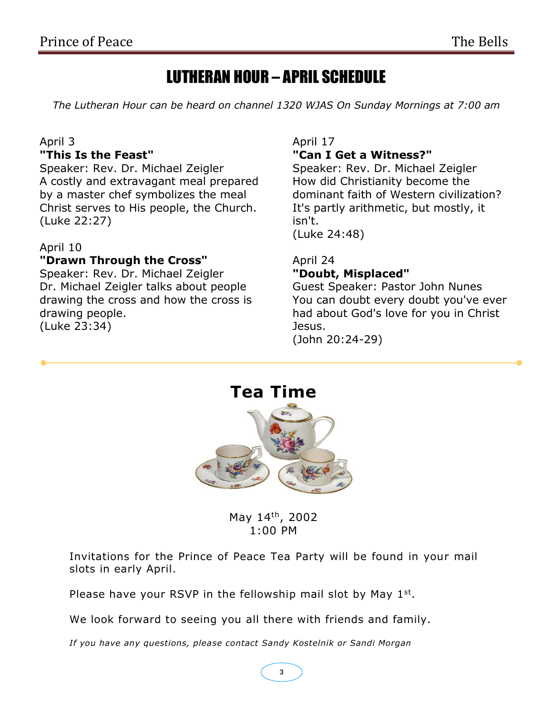# LUTHERAN HOUR – APRIL SCHEDULE

*The Lutheran Hour can be heard on channel 1320 WJAS On Sunday Mornings at 7:00 am*

# April 3

#### **"This Is the Feast"**

Speaker: Rev. Dr. Michael Zeigler A costly and extravagant meal prepared by a master chef symbolizes the meal Christ serves to His people, the Church. (Luke 22:27)

#### April 10

#### **"Drawn Through the Cross"**

Speaker: Rev. Dr. Michael Zeigler Dr. Michael Zeigler talks about people drawing the cross and how the cross is drawing people.

(Luke 23:34)

#### April 17

#### **"Can I Get a Witness?"**

Speaker: Rev. Dr. Michael Zeigler How did Christianity become the dominant faith of Western civilization? It's partly arithmetic, but mostly, it isn't. (Luke 24:48)

#### April 24 **"Doubt, Misplaced"**

Guest Speaker: Pastor John Nunes You can doubt every doubt you've ever had about God's love for you in Christ Jesus.

(John 20:24-29)



May 14th, 2002 1:00 PM

Invitations for the Prince of Peace Tea Party will be found in your mail slots in early April.

Please have your RSVP in the fellowship mail slot by May  $1<sup>st</sup>$ .

We look forward to seeing you all there with friends and family.

*If you have any questions, please contact Sandy Kostelnik or Sandi Morgan*

**3**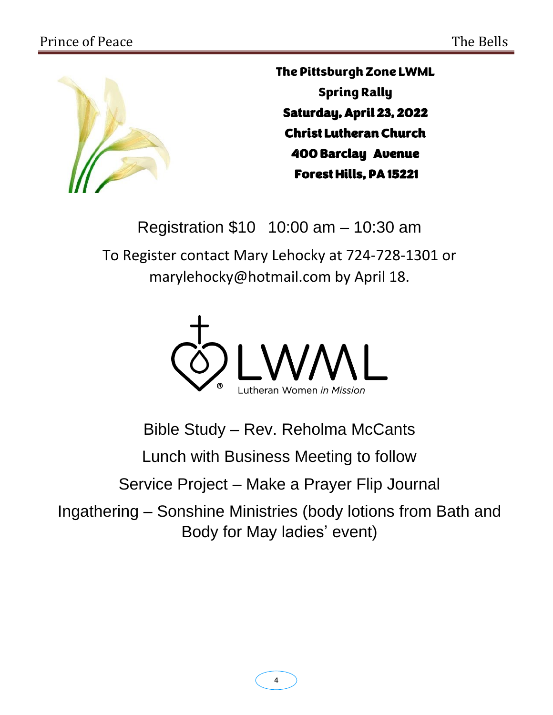

The Pittsburgh Zone LWML Spring Rally Saturday, April 23, 2022 Christ Lutheran Church 400 Barclay Avenue Forest Hills, PA 15221

Registration \$10 10:00 am – 10:30 am

To Register contact Mary Lehocky at 724-728-1301 or marylehocky@hotmail.com by April 18.



Bible Study – Rev. Reholma McCants

Lunch with Business Meeting to follow

Service Project – Make a Prayer Flip Journal

Ingathering – Sonshine Ministries (body lotions from Bath and Body for May ladies' event)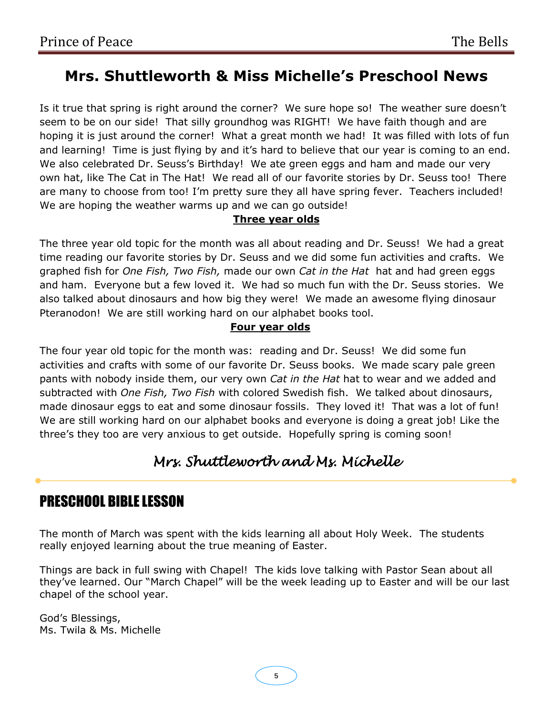### **Mrs. Shuttleworth & Miss Michelle's Preschool News**

Is it true that spring is right around the corner? We sure hope so! The weather sure doesn't seem to be on our side! That silly groundhog was RIGHT! We have faith though and are hoping it is just around the corner! What a great month we had! It was filled with lots of fun and learning! Time is just flying by and it's hard to believe that our year is coming to an end. We also celebrated Dr. Seuss's Birthday! We ate green eggs and ham and made our very own hat, like The Cat in The Hat! We read all of our favorite stories by Dr. Seuss too! There are many to choose from too! I'm pretty sure they all have spring fever. Teachers included! We are hoping the weather warms up and we can go outside!

#### **Three year olds**

The three year old topic for the month was all about reading and Dr. Seuss! We had a great time reading our favorite stories by Dr. Seuss and we did some fun activities and crafts. We graphed fish for *One Fish, Two Fish,* made our own *Cat in the Hat* hat and had green eggs and ham. Everyone but a few loved it. We had so much fun with the Dr. Seuss stories. We also talked about dinosaurs and how big they were! We made an awesome flying dinosaur Pteranodon! We are still working hard on our alphabet books tool.

#### **Four year olds**

The four year old topic for the month was: reading and Dr. Seuss! We did some fun activities and crafts with some of our favorite Dr. Seuss books. We made scary pale green pants with nobody inside them, our very own *Cat in the Hat* hat to wear and we added and subtracted with *One Fish, Two Fish* with colored Swedish fish. We talked about dinosaurs, made dinosaur eggs to eat and some dinosaur fossils. They loved it! That was a lot of fun! We are still working hard on our alphabet books and everyone is doing a great job! Like the three's they too are very anxious to get outside. Hopefully spring is coming soon!

### *Mrs. Shuttleworth and Ms. Michelle*

### PRESCHOOL BIBLE LESSON

The month of March was spent with the kids learning all about Holy Week. The students really enjoyed learning about the true meaning of Easter.

Things are back in full swing with Chapel! The kids love talking with Pastor Sean about all they've learned. Our "March Chapel" will be the week leading up to Easter and will be our last chapel of the school year.

God's Blessings, Ms. Twila & Ms. Michelle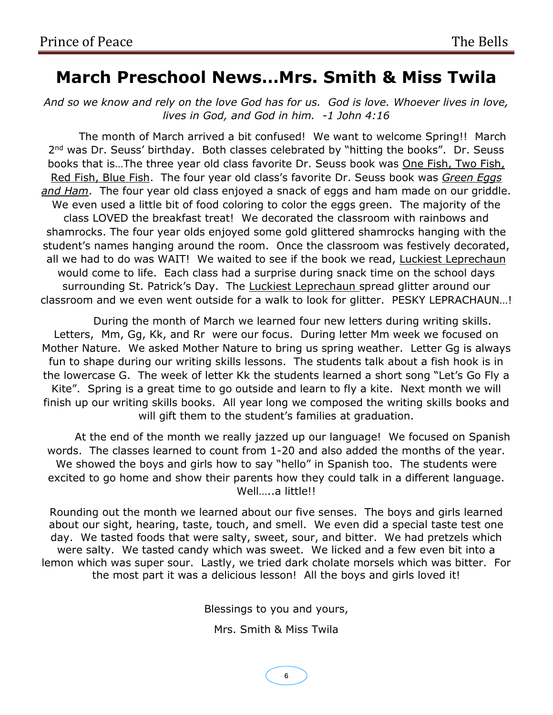### **March Preschool News…Mrs. Smith & Miss Twila**

*And so we know and rely on the love God has for us. God is love. Whoever lives in love, lives in God, and God in him. -1 John 4:16*

The month of March arrived a bit confused! We want to welcome Spring!! March 2<sup>nd</sup> was Dr. Seuss' birthday. Both classes celebrated by "hitting the books". Dr. Seuss books that is…The three year old class favorite Dr. Seuss book was One Fish, Two Fish, Red Fish, Blue Fish. The four year old class's favorite Dr. Seuss book was *Green Eggs and Ham*. The four year old class enjoyed a snack of eggs and ham made on our griddle. We even used a little bit of food coloring to color the eggs green. The majority of the class LOVED the breakfast treat! We decorated the classroom with rainbows and shamrocks. The four year olds enjoyed some gold glittered shamrocks hanging with the student's names hanging around the room. Once the classroom was festively decorated, all we had to do was WAIT! We waited to see if the book we read, Luckiest Leprechaun would come to life. Each class had a surprise during snack time on the school days surrounding St. Patrick's Day. The Luckiest Leprechaun spread glitter around our classroom and we even went outside for a walk to look for glitter. PESKY LEPRACHAUN…!

During the month of March we learned four new letters during writing skills. Letters, Mm, Gg, Kk, and Rr were our focus. During letter Mm week we focused on Mother Nature. We asked Mother Nature to bring us spring weather. Letter Gg is always fun to shape during our writing skills lessons. The students talk about a fish hook is in the lowercase G. The week of letter Kk the students learned a short song "Let's Go Fly a Kite". Spring is a great time to go outside and learn to fly a kite. Next month we will finish up our writing skills books. All year long we composed the writing skills books and will gift them to the student's families at graduation.

At the end of the month we really jazzed up our language! We focused on Spanish words. The classes learned to count from 1-20 and also added the months of the year. We showed the boys and girls how to say "hello" in Spanish too. The students were excited to go home and show their parents how they could talk in a different language. Well.....a little!!

Rounding out the month we learned about our five senses. The boys and girls learned about our sight, hearing, taste, touch, and smell. We even did a special taste test one day. We tasted foods that were salty, sweet, sour, and bitter. We had pretzels which were salty. We tasted candy which was sweet. We licked and a few even bit into a lemon which was super sour. Lastly, we tried dark cholate morsels which was bitter. For the most part it was a delicious lesson! All the boys and girls loved it!

Blessings to you and yours,

Mrs. Smith & Miss Twila